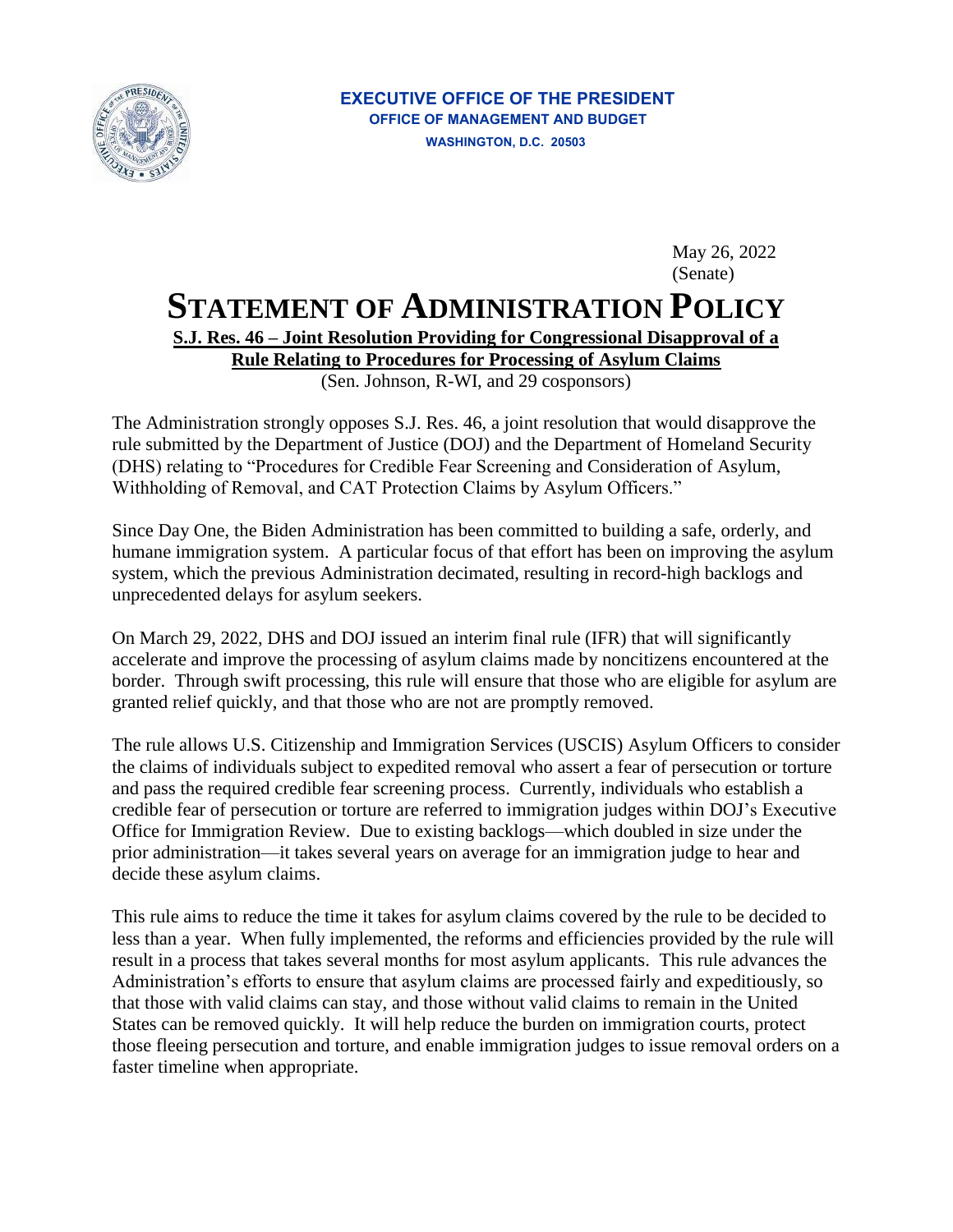

May 26, 2022 (Senate)

## **STATEMENT OF ADMINISTRATION POLICY**

## **S.J. Res. 46 – Joint Resolution Providing for Congressional Disapproval of a**

**Rule Relating to Procedures for Processing of Asylum Claims** 

(Sen. Johnson, R-WI, and 29 cosponsors)

The Administration strongly opposes S.J. Res. 46, a joint resolution that would disapprove the rule submitted by the Department of Justice (DOJ) and the Department of Homeland Security (DHS) relating to "Procedures for Credible Fear Screening and Consideration of Asylum, Withholding of Removal, and CAT Protection Claims by Asylum Officers."

Since Day One, the Biden Administration has been committed to building a safe, orderly, and humane immigration system. A particular focus of that effort has been on improving the asylum system, which the previous Administration decimated, resulting in record-high backlogs and unprecedented delays for asylum seekers.

 border. Through swift processing, this rule will ensure that those who are eligible for asylum are On March 29, 2022, DHS and DOJ issued an interim final rule (IFR) that will significantly accelerate and improve the processing of asylum claims made by noncitizens encountered at the granted relief quickly, and that those who are not are promptly removed.

 Office for Immigration Review. Due to existing backlogs—which doubled in size under the decide these asylum claims. The rule allows U.S. Citizenship and Immigration Services (USCIS) Asylum Officers to consider the claims of individuals subject to expedited removal who assert a fear of persecution or torture and pass the required credible fear screening process. Currently, individuals who establish a credible fear of persecution or torture are referred to immigration judges within DOJ's Executive prior administration—it takes several years on average for an immigration judge to hear and

 This rule aims to reduce the time it takes for asylum claims covered by the rule to be decided to less than a year. When fully implemented, the reforms and efficiencies provided by the rule will result in a process that takes several months for most asylum applicants. This rule advances the Administration's efforts to ensure that asylum claims are processed fairly and expeditiously, so that those with valid claims can stay, and those without valid claims to remain in the United States can be removed quickly. It will help reduce the burden on immigration courts, protect those fleeing persecution and torture, and enable immigration judges to issue removal orders on a faster timeline when appropriate.